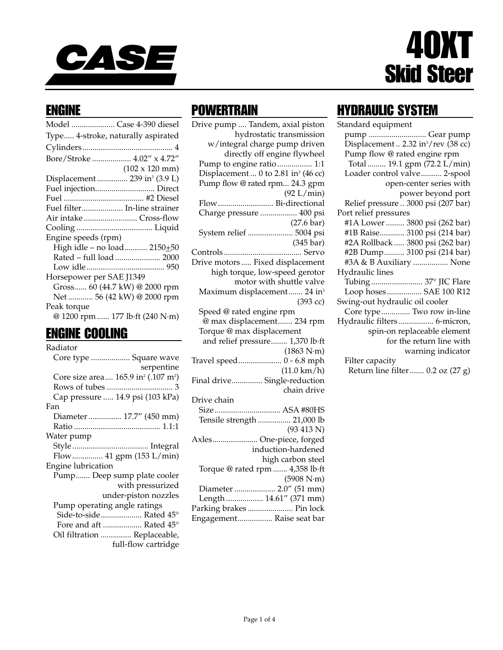

# 40XT Skid Steer

#### ENGINE

| Model  Case 4-390 diesel                 |
|------------------------------------------|
| Type 4-stroke, naturally aspirated       |
|                                          |
| Bore/Stroke  4.02" x 4.72"               |
| $(102 \times 120 \text{ mm})$            |
| Displacement 239 in <sup>3</sup> (3.9 L) |
| Fuel injection Direct                    |
|                                          |
| Fuel filter In-line strainer             |
| Air intake Cross-flow                    |
|                                          |
| Engine speeds (rpm)                      |
| High idle - no load 2150+50              |
| Rated - full load  2000                  |
|                                          |
| Horsepower per SAE J1349                 |
| Gross 60 (44.7 kW) @ 2000 rpm            |
| Net  56 (42 kW) @ 2000 rpm               |
| Peak torque                              |
| @ 1200 rpm  177 lb·ft (240 N·m)          |

#### ENGINE COOLING

| Radiator                                                    |
|-------------------------------------------------------------|
| Core type  Square wave                                      |
| serpentine                                                  |
| Core size area 165.9 in <sup>2</sup> (.107 m <sup>2</sup> ) |
|                                                             |
| Cap pressure  14.9 psi (103 kPa)                            |
| Fan                                                         |
| Diameter  17.7" (450 mm)                                    |
|                                                             |
| Water pump                                                  |
|                                                             |
| Flow 41 gpm (153 L/min)                                     |
| Engine lubrication                                          |
| Pump Deep sump plate cooler                                 |
| with pressurized                                            |
| under-piston nozzles                                        |
| Pump operating angle ratings                                |
| Side-to-side Rated 45°                                      |
| Fore and aft  Rated 45°                                     |
| Oil filtration  Replaceable,                                |
| full-flow cartridge                                         |

## **POWERTRAIN**

Drive pump .... Tandem, axial piston hydrostatic transmission w/integral charge pump driven directly off engine flywheel Pump to engine ratio................. 1:1 Displacement ... 0 to 2.81 in<sup>3</sup> (46 cc) Pump flow @ rated rpm... 24.3 gpm (92 L/min) Flow........................... Bi-directional Charge pressure .................. 400 psi (27.6 bar) System relief ...................... 5004 psi (345 bar) Controls...................................... Servo Drive motors ..... Fixed displacement high torque, low-speed gerotor motor with shuttle valve Maximum displacement....... 24 in<sup>3</sup> (393 cc) Speed @ rated engine rpm @ max displacement....... 234 rpm Torque @ max displacement and relief pressure........ 1,370 lb·ft (1863 N·m) Travel speed..................... 0 - 6.8 mph (11.0 km/h) Final drive............... Single-reduction chain drive Drive chain Size................................ ASA #80HS Tensile strength ................ 21,000 lb (93 413 N) Axles...................... One-piece, forged induction-hardened high carbon steel Torque @ rated rpm ....... 4,358 lb·ft (5908 N·m) Diameter .................... 2.0" (51 mm) Length .................. 14.61" (371 mm) Parking brakes ...................... Pin lock Engagement................. Raise seat bar

# HYDRAULIC SYSTEM

| Standard equipment                              |
|-------------------------------------------------|
| pump  Gear pump                                 |
| Displacement  2.32 in <sup>3</sup> /rev (38 cc) |
| Pump flow @ rated engine rpm                    |
| Total 19.1 gpm (72.2 L/min)                     |
| Loader control valve 2-spool                    |
| open-center series with                         |
| power beyond port                               |
| Relief pressure  3000 psi (207 bar)             |
| Port relief pressures                           |
| #1A Lower  3800 psi (262 bar)                   |
| #1B Raise 3100 psi (214 bar)                    |
| #2A Rollback  3800 psi (262 bar)                |
| #2B Dump 3100 psi (214 bar)                     |
| #3A & B Auxiliary  None                         |
| Hydraulic lines                                 |
| Tubing  37° JIC Flare                           |
| Loop hoses SAE 100 R12                          |
| Swing-out hydraulic oil cooler                  |
| Core type  Two row in-line                      |
| Hydraulic filters 6-micron,                     |
| spin-on replaceable element                     |
| for the return line with                        |
| warning indicator                               |
| Filter capacity                                 |
| Return line filter  0.2 oz (27 g)               |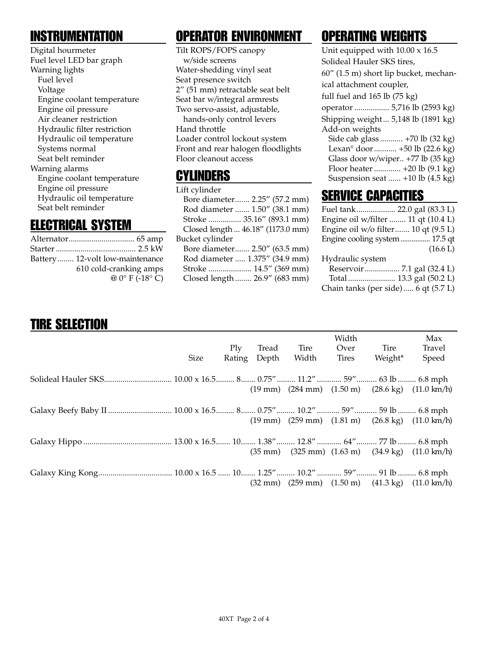## **INSTRUMENTATION**

Digital hourmeter Fuel level LED bar graph Warning lights Fuel level Voltage Engine coolant temperature Engine oil pressure Air cleaner restriction Hydraulic filter restriction Hydraulic oil temperature Systems normal Seat belt reminder Warning alarms Engine coolant temperature Engine oil pressure Hydraulic oil temperature Seat belt reminder

#### ELECTRICAL SYSTEM

| Battery 12-volt low-maintenance    |
|------------------------------------|
| 610 cold-cranking amps             |
| @ $0^{\circ}$ F (-18 $^{\circ}$ C) |

# OPERATOR ENVIRONMENT

Tilt ROPS/FOPS canopy w/side screens Water-shedding vinyl seat Seat presence switch 2" (51 mm) retractable seat belt Seat bar w/integral armrests Two servo-assist, adjustable, hands-only control levers Hand throttle Loader control lockout system Front and rear halogen floodlights Floor cleanout access

#### CYLINDERS

Lift cylinder Bore diameter....... 2.25" (57.2 mm) Rod diameter ....... 1.50" (38.1 mm) Stroke ................ 35.16" (893.1 mm) Closed length ... 46.18" (1173.0 mm) Bucket cylinder Bore diameter....... 2.50" (63.5 mm) Rod diameter ..... 1.375" (34.9 mm) Stroke ..................... 14.5" (369 mm) Closed length ........ 26.9" (683 mm)

# OPERATING WEIGHTS

| Unit equipped with $10.00 \times 16.5$    |
|-------------------------------------------|
| Solideal Hauler SKS tires,                |
| 60" (1.5 m) short lip bucket, mechan-     |
| ical attachment coupler,                  |
| full fuel and $165$ lb $(75 \text{ kg})$  |
| operator  5,716 lb (2593 kg)              |
| Shipping weight 5,148 lb (1891 kg)        |
| Add-on weights                            |
| Side cab glass  +70 lb (32 kg)            |
| Lexan <sup>®</sup> door  +50 lb (22.6 kg) |
| Glass door w/wiper +77 lb (35 kg)         |
| Floor heater  +20 lb (9.1 kg)             |
| Suspension seat  +10 lb (4.5 kg)          |
|                                           |

#### SERVICE CAPACITIES

| Fuel tank 22.0 gal (83.3 L)         |          |
|-------------------------------------|----------|
| Engine oil w/filter  11 qt (10.4 L) |          |
| Engine oil w/o filter 10 qt (9.5 L) |          |
| Engine cooling system  17.5 qt      |          |
|                                     | (16.6 L) |
| Hydraulic system                    |          |
|                                     |          |
| Total  13.3 gal (50.2 L)            |          |
| Chain tanks (per side) 6 qt (5.7 L) |          |

## TIRE SELECTION

|      |     |              |       | Width |         | Max                                                                                               |
|------|-----|--------------|-------|-------|---------|---------------------------------------------------------------------------------------------------|
|      | Plv | Tread        | Tire  | Over  | Tire    | Travel                                                                                            |
| Size |     | Rating Depth | Width | Tires | Weight* | Speed                                                                                             |
|      |     |              |       |       |         |                                                                                                   |
|      |     |              |       |       |         |                                                                                                   |
|      |     |              |       |       |         |                                                                                                   |
|      |     |              |       |       |         | $(19 \text{ mm})$ $(284 \text{ mm})$ $(1.50 \text{ m})$ $(28.6 \text{ kg})$ $(11.0 \text{ km/h})$ |
|      |     |              |       |       |         |                                                                                                   |
|      |     |              |       |       |         |                                                                                                   |
|      |     |              |       |       |         | $(19 \text{ mm})$ $(259 \text{ mm})$ $(1.81 \text{ m})$ $(26.8 \text{ kg})$ $(11.0 \text{ km/h})$ |
|      |     |              |       |       |         |                                                                                                   |
|      |     |              |       |       |         |                                                                                                   |
|      |     |              |       |       |         | $(35 \text{ mm})$ $(325 \text{ mm})$ $(1.63 \text{ m})$ $(34.9 \text{ kg})$ $(11.0 \text{ km/h})$ |
|      |     |              |       |       |         |                                                                                                   |
|      |     |              |       |       |         |                                                                                                   |
|      |     |              |       |       |         |                                                                                                   |
|      |     |              |       |       |         | $(32 \text{ mm})$ $(259 \text{ mm})$ $(1.50 \text{ m})$ $(41.3 \text{ kg})$ $(11.0 \text{ km/h})$ |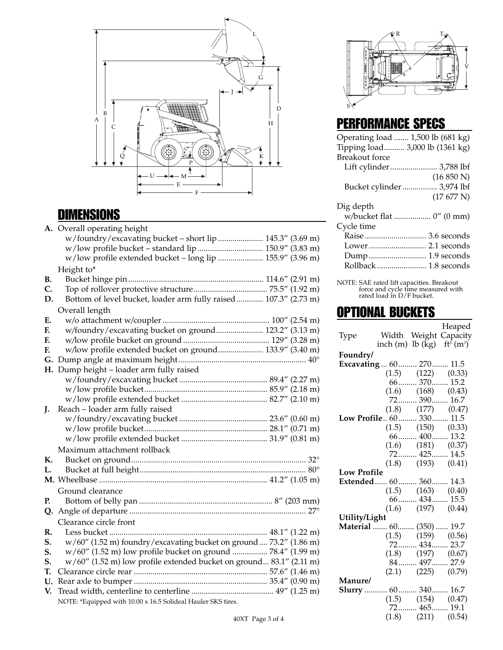

#### DIMENSIONS

|    | A. Overall operating height                                         |  |  |
|----|---------------------------------------------------------------------|--|--|
|    | w/foundry/excavating bucket - short lip  145.3" (3.69 m)            |  |  |
|    |                                                                     |  |  |
|    | w/low profile extended bucket - long lip  155.9" (3.96 m)           |  |  |
|    | Height to*                                                          |  |  |
| В. |                                                                     |  |  |
| C. |                                                                     |  |  |
| D. | Bottom of level bucket, loader arm fully raised  107.3" (2.73 m)    |  |  |
|    | Overall length                                                      |  |  |
| Ε. |                                                                     |  |  |
| F. | w/foundry/excavating bucket on ground 123.2" (3.13 m)               |  |  |
| F. |                                                                     |  |  |
| F. | w/low profile extended bucket on ground 133.9" (3.40 m)             |  |  |
| G. |                                                                     |  |  |
| Η. | Dump height - loader arm fully raised                               |  |  |
|    |                                                                     |  |  |
|    |                                                                     |  |  |
|    |                                                                     |  |  |
| J. | Reach - loader arm fully raised                                     |  |  |
|    |                                                                     |  |  |
|    |                                                                     |  |  |
|    |                                                                     |  |  |
|    | Maximum attachment rollback                                         |  |  |
| К. |                                                                     |  |  |
| L. |                                                                     |  |  |
|    |                                                                     |  |  |
|    | Ground clearance                                                    |  |  |
| Р. |                                                                     |  |  |
| Q. |                                                                     |  |  |
|    | Clearance circle front                                              |  |  |
| R. |                                                                     |  |  |
| S. | w/60" (1.52 m) foundry/excavating bucket on ground  73.2" (1.86 m)  |  |  |
| S. | w/60" (1.52 m) low profile bucket on ground  78.4" (1.99 m)         |  |  |
| S. | w/60" (1.52 m) low profile extended bucket on ground 83.1" (2.11 m) |  |  |
| Т. |                                                                     |  |  |
| U. |                                                                     |  |  |
| V. |                                                                     |  |  |
|    | NOTE: *Equipped with 10.00 x 16.5 Solideal Hauler SKS tires.        |  |  |



#### PERFORMANCE SPECS

| Operating load  1,500 lb (681 kg) |                            |
|-----------------------------------|----------------------------|
| Tipping load 3,000 lb (1361 kg)   |                            |
| <b>Breakout</b> force             |                            |
|                                   | Lift cylinder 3,788 lbf    |
|                                   | (16 850 N)                 |
|                                   | Bucket cylinder  3,974 lbf |
|                                   | (17677 N)                  |
| Dig depth                         |                            |
|                                   | w/bucket flat  0" (0 mm)   |
| Cycle time                        |                            |
|                                   | Raise  3.6 seconds         |
|                                   | Lower 2.1 seconds          |
|                                   | Dump  1.9 seconds          |
|                                   | Rollback  1.8 seconds      |
|                                   |                            |

NOTE: SAE rated lift capacities. Breakout force and cycle time measured with rated load in D/F bucket.

#### OPTIONAL BUCKETS

Heaped Type Width Weight Capacity inch (m)  $\rm{lb}$  (kg)  $\rm{ft}^3$  (m<sup>3</sup>) **Foundry/ Excavating** ... 60......... 270........ 11.5 (1.5) (122) (0.33) 66......... 370........ 15.2 (1.6) (168) (0.43) 72......... 390........ 16.7<br>(1.8) (177) (0.47  $(0.47)$ **Low Profile**.. 60......... 330........ 11.5<br>(1.5) (150) (0.33)  $(150)$   $(0.33)$ 66......... 400........ 13.2 (1.6) (181) (0.37) 72......... 425........ 14.5<br>(1.8) (193) (0.41)  $(0.41)$ **Low Profile Extended**...... 60......... 360........ 14.3<br>(1.5) (163) (0.40)  $(163)$ 66......... 434........ 15.5 (1.6) (197) (0.44) **Utility/Light Material** ....... 60........ (350) ...... 19.7<br>(1.5) (159) (0.56) (1.5) (159) (0.56)<br>72......... 434........ 23.7 72......... 434........ 23.7  $(0.67)$ 84......... 497........ 27.9  $(2.1)$   $(225)$   $(0.79)$ **Manure/ Slurry** ........... 60......... 340........ 16.7<br>(1.5) (154) (0.47)  $(154)$ 72......... 465........ 19.1 (1.8) (211) (0.54)